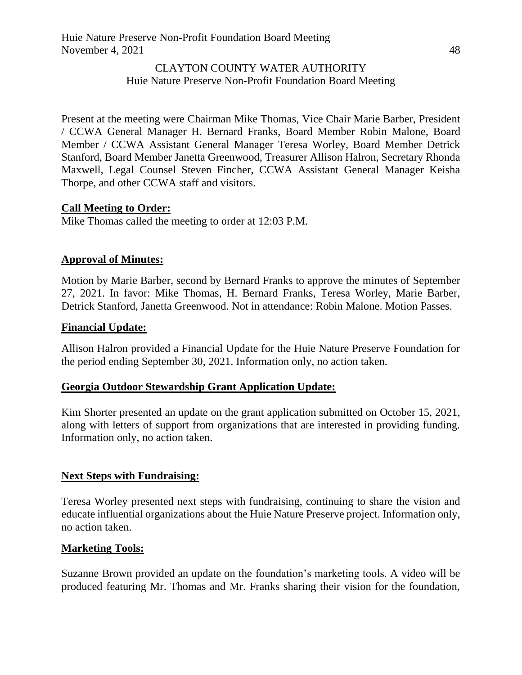#### CLAYTON COUNTY WATER AUTHORITY Huie Nature Preserve Non-Profit Foundation Board Meeting

Present at the meeting were Chairman Mike Thomas, Vice Chair Marie Barber, President / CCWA General Manager H. Bernard Franks, Board Member Robin Malone, Board Member / CCWA Assistant General Manager Teresa Worley, Board Member Detrick Stanford, Board Member Janetta Greenwood, Treasurer Allison Halron, Secretary Rhonda Maxwell, Legal Counsel Steven Fincher, CCWA Assistant General Manager Keisha Thorpe, and other CCWA staff and visitors.

#### **Call Meeting to Order:**

Mike Thomas called the meeting to order at 12:03 P.M.

### **Approval of Minutes:**

Motion by Marie Barber, second by Bernard Franks to approve the minutes of September 27, 2021. In favor: Mike Thomas, H. Bernard Franks, Teresa Worley, Marie Barber, Detrick Stanford, Janetta Greenwood. Not in attendance: Robin Malone. Motion Passes.

#### **Financial Update:**

Allison Halron provided a Financial Update for the Huie Nature Preserve Foundation for the period ending September 30, 2021. Information only, no action taken.

#### **Georgia Outdoor Stewardship Grant Application Update:**

Kim Shorter presented an update on the grant application submitted on October 15, 2021, along with letters of support from organizations that are interested in providing funding. Information only, no action taken.

#### **Next Steps with Fundraising:**

Teresa Worley presented next steps with fundraising, continuing to share the vision and educate influential organizations about the Huie Nature Preserve project. Information only, no action taken.

#### **Marketing Tools:**

Suzanne Brown provided an update on the foundation's marketing tools. A video will be produced featuring Mr. Thomas and Mr. Franks sharing their vision for the foundation,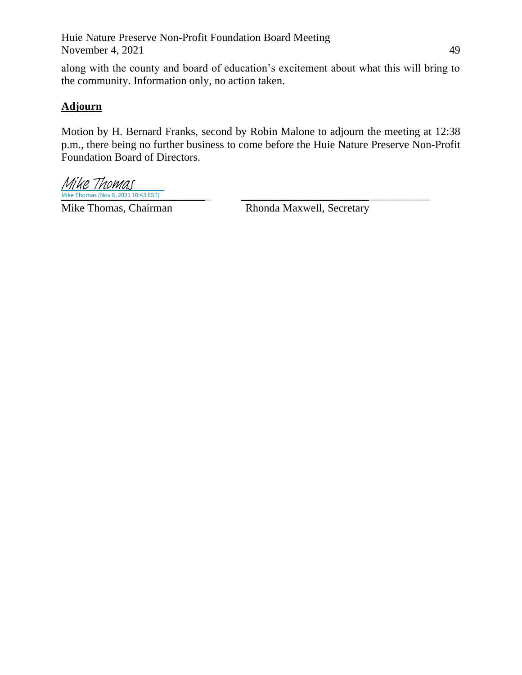Huie Nature Preserve Non-Profit Foundation Board Meeting November 4, 2021  $\frac{49}{49}$ 

along with the county and board of education's excitement about what this will bring to the community. Information only, no action taken.

## **Adjourn**

Motion by H. Bernard Franks, second by Robin Malone to adjourn the meeting at 12:38 p.m., there being no further business to come before the Huie Nature Preserve Non-Profit Foundation Board of Directors.

 $Mike \, Thomas (Nov 8, 2021\,10:43\,EST)$ Mike Thomas

Mike Thomas, Chairman Rhonda Maxwell, Secretary